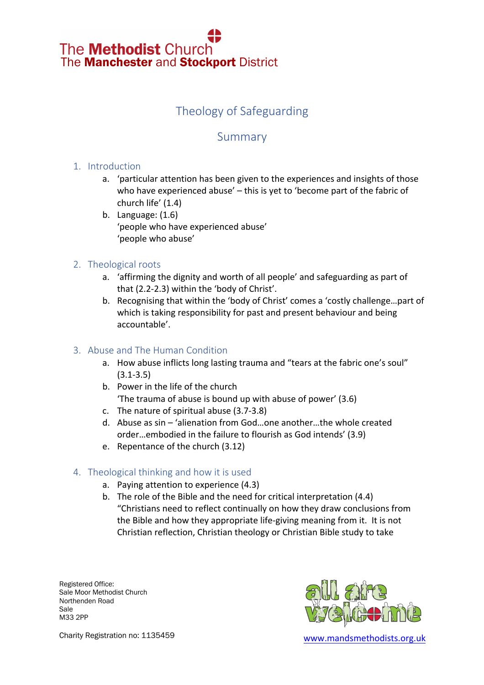# The **Methodist** Church The **Manchester** and **Stockport** District

### Theology of Safeguarding

### Summary

#### 1. Introduction

- a. 'particular attention has been given to the experiences and insights of those who have experienced abuse' – this is yet to 'become part of the fabric of church life' (1.4)
- b. Language: (1.6) 'people who have experienced abuse' 'people who abuse'

#### 2. Theological roots

- a. 'affirming the dignity and worth of all people' and safeguarding as part of that (2.2-2.3) within the 'body of Christ'.
- b. Recognising that within the 'body of Christ' comes a 'costly challenge…part of which is taking responsibility for past and present behaviour and being accountable'.

#### 3. Abuse and The Human Condition

- a. How abuse inflicts long lasting trauma and "tears at the fabric one's soul" (3.1-3.5)
- b. Power in the life of the church 'The trauma of abuse is bound up with abuse of power' (3.6)
- c. The nature of spiritual abuse (3.7-3.8)
- d. Abuse as sin 'alienation from God…one another…the whole created order…embodied in the failure to flourish as God intends' (3.9)
- e. Repentance of the church (3.12)

#### 4. Theological thinking and how it is used

- a. Paying attention to experience (4.3)
- b. The role of the Bible and the need for critical interpretation (4.4) "Christians need to reflect continually on how they draw conclusions from the Bible and how they appropriate life-giving meaning from it. It is not Christian reflection, Christian theology or Christian Bible study to take

Registered Office: Sale Moor Methodist Church Northenden Road Sale M33 2PP



Charity Registration no: 1135459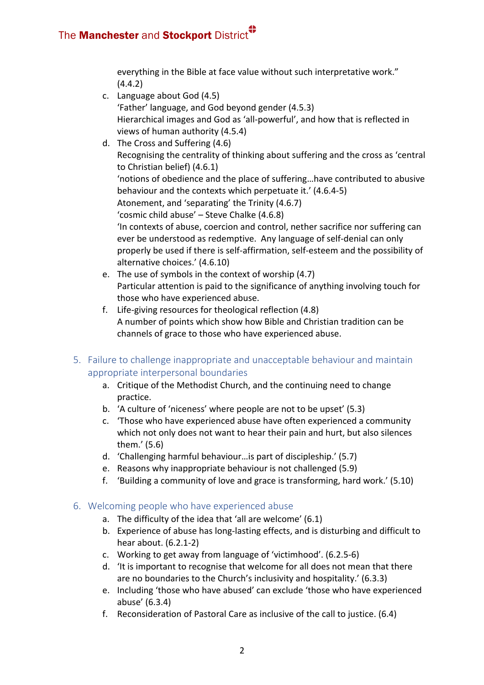everything in the Bible at face value without such interpretative work." (4.4.2)

- c. Language about God (4.5) 'Father' language, and God beyond gender (4.5.3) Hierarchical images and God as 'all-powerful', and how that is reflected in views of human authority (4.5.4)
- d. The Cross and Suffering (4.6) Recognising the centrality of thinking about suffering and the cross as 'central to Christian belief) (4.6.1) 'notions of obedience and the place of suffering…have contributed to abusive behaviour and the contexts which perpetuate it.' (4.6.4-5) Atonement, and 'separating' the Trinity (4.6.7) 'cosmic child abuse' – Steve Chalke (4.6.8) 'In contexts of abuse, coercion and control, nether sacrifice nor suffering can ever be understood as redemptive. Any language of self-denial can only properly be used if there is self-affirmation, self-esteem and the possibility of alternative choices.' (4.6.10)
- e. The use of symbols in the context of worship (4.7) Particular attention is paid to the significance of anything involving touch for those who have experienced abuse.
- f. Life-giving resources for theological reflection (4.8) A number of points which show how Bible and Christian tradition can be channels of grace to those who have experienced abuse.
- 5. Failure to challenge inappropriate and unacceptable behaviour and maintain appropriate interpersonal boundaries
	- a. Critique of the Methodist Church, and the continuing need to change practice.
	- b. 'A culture of 'niceness' where people are not to be upset' (5.3)
	- c. 'Those who have experienced abuse have often experienced a community which not only does not want to hear their pain and hurt, but also silences them.' (5.6)
	- d. 'Challenging harmful behaviour…is part of discipleship.' (5.7)
	- e. Reasons why inappropriate behaviour is not challenged (5.9)
	- f. 'Building a community of love and grace is transforming, hard work.' (5.10)

#### 6. Welcoming people who have experienced abuse

- a. The difficulty of the idea that 'all are welcome' (6.1)
- b. Experience of abuse has long-lasting effects, and is disturbing and difficult to hear about. (6.2.1-2)
- c. Working to get away from language of 'victimhood'. (6.2.5-6)
- d. 'It is important to recognise that welcome for all does not mean that there are no boundaries to the Church's inclusivity and hospitality.' (6.3.3)
- e. Including 'those who have abused' can exclude 'those who have experienced abuse' (6.3.4)
- f. Reconsideration of Pastoral Care as inclusive of the call to justice. (6.4)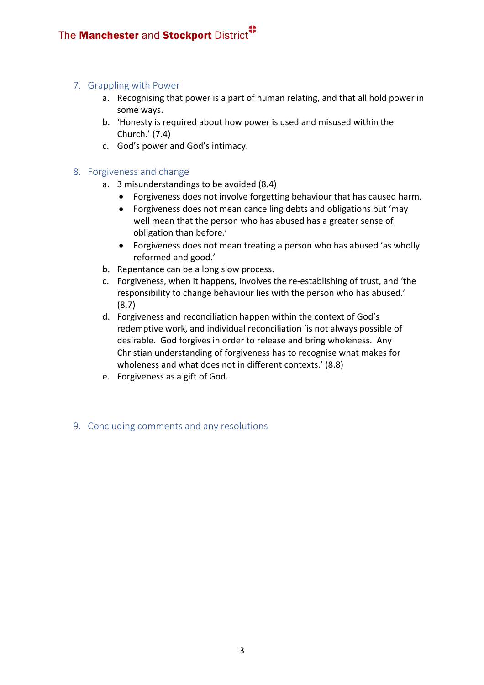#### 7. Grappling with Power

- a. Recognising that power is a part of human relating, and that all hold power in some ways.
- b. 'Honesty is required about how power is used and misused within the Church.' (7.4)
- c. God's power and God's intimacy.

#### 8. Forgiveness and change

- a. 3 misunderstandings to be avoided (8.4)
	- Forgiveness does not involve forgetting behaviour that has caused harm.
	- Forgiveness does not mean cancelling debts and obligations but 'may well mean that the person who has abused has a greater sense of obligation than before.'
	- Forgiveness does not mean treating a person who has abused 'as wholly reformed and good.'
- b. Repentance can be a long slow process.
- c. Forgiveness, when it happens, involves the re-establishing of trust, and 'the responsibility to change behaviour lies with the person who has abused.' (8.7)
- d. Forgiveness and reconciliation happen within the context of God's redemptive work, and individual reconciliation 'is not always possible of desirable. God forgives in order to release and bring wholeness. Any Christian understanding of forgiveness has to recognise what makes for wholeness and what does not in different contexts.' (8.8)
- e. Forgiveness as a gift of God.

#### 9. Concluding comments and any resolutions